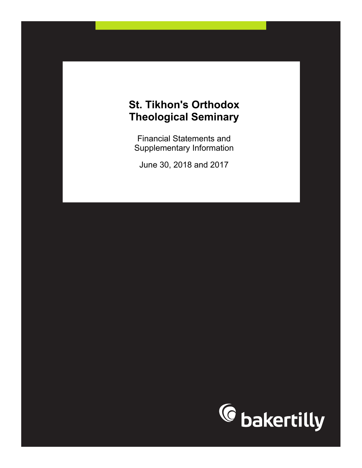Financial Statements and Supplementary Information

June 30, 2018 and 2017

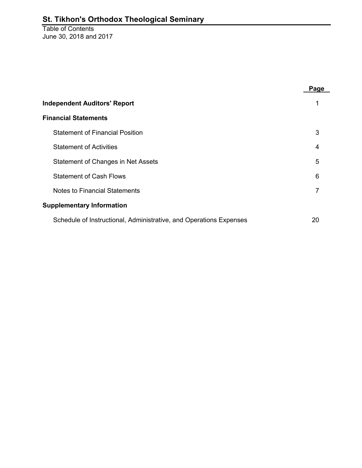Table of Contents June 30, 2018 and 2017

|                                                                    | Page |
|--------------------------------------------------------------------|------|
| <b>Independent Auditors' Report</b>                                |      |
| <b>Financial Statements</b>                                        |      |
| <b>Statement of Financial Position</b>                             | 3    |
| <b>Statement of Activities</b>                                     | 4    |
| Statement of Changes in Net Assets                                 | 5    |
| <b>Statement of Cash Flows</b>                                     | 6    |
| <b>Notes to Financial Statements</b>                               | 7    |
| <b>Supplementary Information</b>                                   |      |
| Schedule of Instructional, Administrative, and Operations Expenses | 20   |
|                                                                    |      |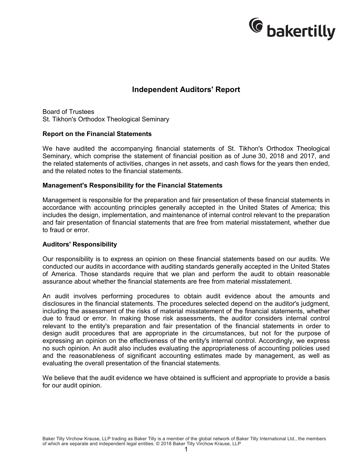

### **Independent Auditors' Report**

Board of Trustees St. Tikhon's Orthodox Theological Seminary

#### **Report on the Financial Statements**

We have audited the accompanying financial statements of St. Tikhon's Orthodox Theological Seminary, which comprise the statement of financial position as of June 30, 2018 and 2017, and the related statements of activities, changes in net assets, and cash flows for the years then ended, and the related notes to the financial statements.

#### **Management's Responsibility for the Financial Statements**

Management is responsible for the preparation and fair presentation of these financial statements in accordance with accounting principles generally accepted in the United States of America; this includes the design, implementation, and maintenance of internal control relevant to the preparation and fair presentation of financial statements that are free from material misstatement, whether due to fraud or error.

#### **Auditors' Responsibility**

Our responsibility is to express an opinion on these financial statements based on our audits. We conducted our audits in accordance with auditing standards generally accepted in the United States of America. Those standards require that we plan and perform the audit to obtain reasonable assurance about whether the financial statements are free from material misstatement.

An audit involves performing procedures to obtain audit evidence about the amounts and disclosures in the financial statements. The procedures selected depend on the auditor's judgment, including the assessment of the risks of material misstatement of the financial statements, whether due to fraud or error. In making those risk assessments, the auditor considers internal control relevant to the entity's preparation and fair presentation of the financial statements in order to design audit procedures that are appropriate in the circumstances, but not for the purpose of expressing an opinion on the effectiveness of the entity's internal control. Accordingly, we express no such opinion. An audit also includes evaluating the appropriateness of accounting policies used and the reasonableness of significant accounting estimates made by management, as well as evaluating the overall presentation of the financial statements.

We believe that the audit evidence we have obtained is sufficient and appropriate to provide a basis for our audit opinion.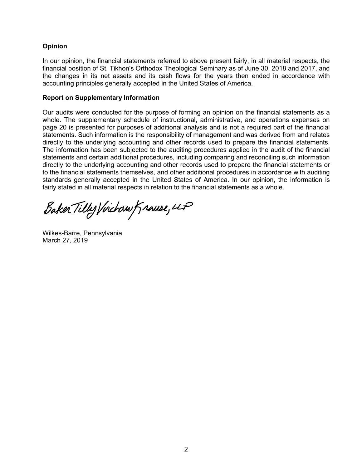#### **Opinion**

In our opinion, the financial statements referred to above present fairly, in all material respects, the financial position of St. Tikhon's Orthodox Theological Seminary as of June 30, 2018 and 2017, and the changes in its net assets and its cash flows for the years then ended in accordance with accounting principles generally accepted in the United States of America.

#### **Report on Supplementary Information**

Our audits were conducted for the purpose of forming an opinion on the financial statements as a whole. The supplementary schedule of instructional, administrative, and operations expenses on page 20 is presented for purposes of additional analysis and is not a required part of the financial statements. Such information is the responsibility of management and was derived from and relates directly to the underlying accounting and other records used to prepare the financial statements. The information has been subjected to the auditing procedures applied in the audit of the financial statements and certain additional procedures, including comparing and reconciling such information directly to the underlying accounting and other records used to prepare the financial statements or to the financial statements themselves, and other additional procedures in accordance with auditing standards generally accepted in the United States of America. In our opinion, the information is fairly stated in all material respects in relation to the financial statements as a whole.

Baker Tilly Virchaw Krause, LP

Wilkes-Barre, Pennsylvania March 27, 2019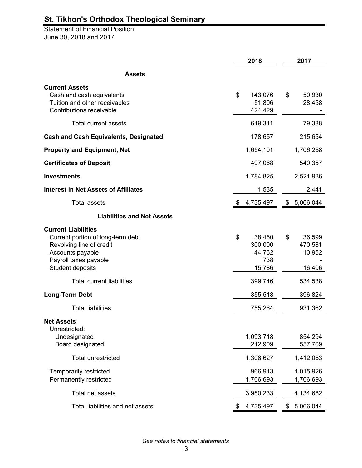Statement of Financial Position June 30, 2018 and 2017

|                                                                                                                                                              | 2018                                               | 2017                                        |
|--------------------------------------------------------------------------------------------------------------------------------------------------------------|----------------------------------------------------|---------------------------------------------|
| <b>Assets</b>                                                                                                                                                |                                                    |                                             |
| <b>Current Assets</b><br>Cash and cash equivalents<br>Tuition and other receivables<br>Contributions receivable                                              | \$<br>143,076<br>51,806<br>424,429                 | \$<br>50,930<br>28,458                      |
| Total current assets                                                                                                                                         | 619,311                                            | 79,388                                      |
| <b>Cash and Cash Equivalents, Designated</b>                                                                                                                 | 178,657                                            | 215,654                                     |
| <b>Property and Equipment, Net</b>                                                                                                                           | 1,654,101                                          | 1,706,268                                   |
| <b>Certificates of Deposit</b>                                                                                                                               | 497,068                                            | 540,357                                     |
| <b>Investments</b>                                                                                                                                           | 1,784,825                                          | 2,521,936                                   |
| <b>Interest in Net Assets of Affiliates</b>                                                                                                                  | 1,535                                              | 2,441                                       |
| <b>Total assets</b>                                                                                                                                          | 4,735,497<br>S.                                    | \$5,066,044                                 |
| <b>Liabilities and Net Assets</b>                                                                                                                            |                                                    |                                             |
| <b>Current Liabilities</b><br>Current portion of long-term debt<br>Revolving line of credit<br>Accounts payable<br>Payroll taxes payable<br>Student deposits | \$<br>38,460<br>300,000<br>44,762<br>738<br>15,786 | \$<br>36,599<br>470,581<br>10,952<br>16,406 |
| <b>Total current liabilities</b>                                                                                                                             | 399,746                                            | 534,538                                     |
| <b>Long-Term Debt</b>                                                                                                                                        | 355,518                                            | 396,824                                     |
| <b>Total liabilities</b>                                                                                                                                     | 755,264                                            | 931,362                                     |
| <b>Net Assets</b><br>Unrestricted:<br>Undesignated<br>Board designated                                                                                       | 1,093,718<br>212,909                               | 854,294<br>557,769                          |
| <b>Total unrestricted</b>                                                                                                                                    | 1,306,627                                          | 1,412,063                                   |
| Temporarily restricted<br>Permanently restricted                                                                                                             | 966,913<br>1,706,693                               | 1,015,926<br>1,706,693                      |
| Total net assets                                                                                                                                             | 3,980,233                                          | 4,134,682                                   |
| Total liabilities and net assets                                                                                                                             | 4,735,497<br>\$                                    | \$<br>5,066,044                             |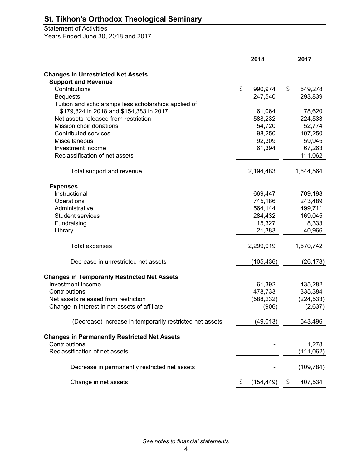# Statement of Activities

Years Ended June 30, 2018 and 2017

|                                                          | 2018          | 2017          |
|----------------------------------------------------------|---------------|---------------|
|                                                          |               |               |
| <b>Changes in Unrestricted Net Assets</b>                |               |               |
| <b>Support and Revenue</b>                               |               |               |
| Contributions                                            | \$<br>990,974 | \$<br>649,278 |
| <b>Bequests</b>                                          | 247,540       | 293,839       |
| Tuition and scholarships less scholarships applied of    |               |               |
| \$179,824 in 2018 and \$154,383 in 2017                  | 61,064        | 78,620        |
| Net assets released from restriction                     | 588,232       | 224,533       |
| Mission choir donations                                  | 54,720        | 52,774        |
| <b>Contributed services</b>                              | 98,250        | 107,250       |
| Miscellaneous                                            | 92,309        | 59,945        |
| Investment income                                        | 61,394        | 67,263        |
| Reclassification of net assets                           |               | 111,062       |
| Total support and revenue                                | 2,194,483     | 1,644,564     |
|                                                          |               |               |
| <b>Expenses</b>                                          |               |               |
| Instructional                                            | 669,447       | 709,198       |
| Operations                                               | 745,186       | 243,489       |
| Administrative                                           | 564,144       | 499,711       |
| <b>Student services</b>                                  | 284,432       | 169,045       |
| Fundraising                                              | 15,327        | 8,333         |
| Library                                                  | 21,383        | 40,966        |
|                                                          |               |               |
| Total expenses                                           | 2,299,919     | 1,670,742     |
| Decrease in unrestricted net assets                      | (105, 436)    | (26, 178)     |
| <b>Changes in Temporarily Restricted Net Assets</b>      |               |               |
| Investment income                                        | 61,392        | 435,282       |
| Contributions                                            | 478,733       | 335,384       |
| Net assets released from restriction                     | (588, 232)    | (224, 533)    |
| Change in interest in net assets of affiliate            | (906)         | (2,637)       |
|                                                          |               |               |
| (Decrease) increase in temporarily restricted net assets | (49, 013)     | 543,496       |
| <b>Changes in Permanently Restricted Net Assets</b>      |               |               |
| Contributions                                            |               | 1,278         |
| Reclassification of net assets                           |               | (111, 062)    |
|                                                          |               |               |
| Decrease in permanently restricted net assets            |               | (109, 784)    |
| Change in net assets                                     | (154, 449)    | 407,534       |
|                                                          |               |               |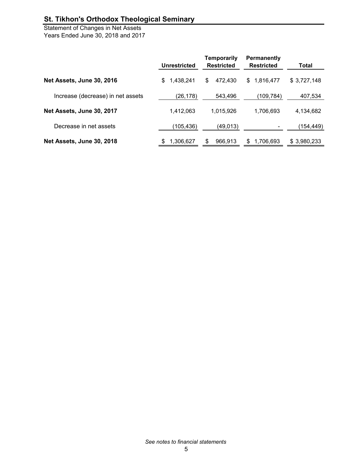Statement of Changes in Net Assets Years Ended June 30, 2018 and 2017

|                                   | Unrestricted     | Temporarily<br><b>Restricted</b> | Permanently<br><b>Restricted</b> | Total       |
|-----------------------------------|------------------|----------------------------------|----------------------------------|-------------|
| Net Assets, June 30, 2016         | 1,438,241<br>\$. | 472.430<br>\$                    | 1,816,477<br>\$                  | \$3,727,148 |
| Increase (decrease) in net assets | (26,178)         | 543,496                          | (109,784)                        | 407,534     |
| Net Assets, June 30, 2017         | 1.412.063        | 1,015,926                        | 1,706,693                        | 4,134,682   |
| Decrease in net assets            | (105, 436)       | (49,013)                         |                                  | (154,449)   |
| Net Assets, June 30, 2018         | 1,306,627<br>S   | 966.913<br>S                     | 1.706.693<br>\$                  | \$3,980,233 |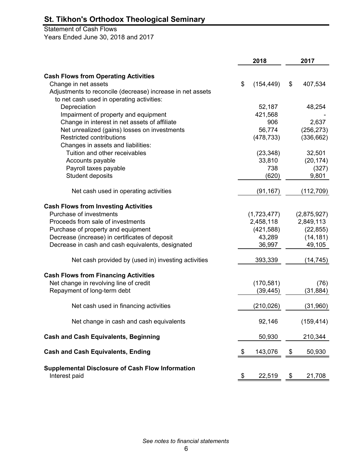### Statement of Cash Flows

Years Ended June 30, 2018 and 2017

|                                                                          | 2018 |             |    | 2017        |  |  |
|--------------------------------------------------------------------------|------|-------------|----|-------------|--|--|
| <b>Cash Flows from Operating Activities</b>                              |      |             |    |             |  |  |
| Change in net assets                                                     | \$   | (154, 449)  | \$ | 407,534     |  |  |
| Adjustments to reconcile (decrease) increase in net assets               |      |             |    |             |  |  |
| to net cash used in operating activities:                                |      |             |    |             |  |  |
| Depreciation                                                             |      | 52,187      |    | 48,254      |  |  |
| Impairment of property and equipment                                     |      | 421,568     |    |             |  |  |
| Change in interest in net assets of affiliate                            |      | 906         |    | 2,637       |  |  |
| Net unrealized (gains) losses on investments                             |      | 56,774      |    | (256, 273)  |  |  |
| Restricted contributions                                                 |      | (478, 733)  |    | (336, 662)  |  |  |
| Changes in assets and liabilities:                                       |      |             |    |             |  |  |
| Tuition and other receivables                                            |      | (23, 348)   |    | 32,501      |  |  |
| Accounts payable                                                         |      | 33,810      |    | (20, 174)   |  |  |
| Payroll taxes payable                                                    |      | 738         |    | (327)       |  |  |
| Student deposits                                                         |      | (620)       |    | 9,801       |  |  |
|                                                                          |      |             |    |             |  |  |
| Net cash used in operating activities                                    |      | (91, 167)   |    | (112, 709)  |  |  |
| <b>Cash Flows from Investing Activities</b>                              |      |             |    |             |  |  |
| Purchase of investments                                                  |      | (1,723,477) |    | (2,875,927) |  |  |
| Proceeds from sale of investments                                        |      | 2,458,118   |    | 2,849,113   |  |  |
| Purchase of property and equipment                                       |      | (421,588)   |    | (22, 855)   |  |  |
| Decrease (increase) in certificates of deposit                           |      | 43,289      |    | (14, 181)   |  |  |
| Decrease in cash and cash equivalents, designated                        |      | 36,997      |    | 49,105      |  |  |
| Net cash provided by (used in) investing activities                      |      | 393,339     |    | (14, 745)   |  |  |
| <b>Cash Flows from Financing Activities</b>                              |      |             |    |             |  |  |
| Net change in revolving line of credit                                   |      | (170, 581)  |    | (76)        |  |  |
| Repayment of long-term debt                                              |      | (39, 445)   |    | (31, 884)   |  |  |
| Net cash used in financing activities                                    |      | (210, 026)  |    | (31,960)    |  |  |
| Net change in cash and cash equivalents                                  |      | 92,146      |    | (159, 414)  |  |  |
| <b>Cash and Cash Equivalents, Beginning</b>                              |      | 50,930      |    | 210,344     |  |  |
| <b>Cash and Cash Equivalents, Ending</b>                                 | \$   | 143,076     | \$ | 50,930      |  |  |
| <b>Supplemental Disclosure of Cash Flow Information</b><br>Interest paid | \$   | 22,519      | \$ | 21,708      |  |  |

*See notes to financial statements*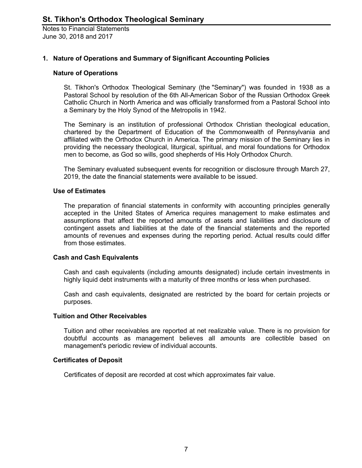#### **1. Nature of Operations and Summary of Significant Accounting Policies**

#### **Nature of Operations**

St. Tikhon's Orthodox Theological Seminary (the "Seminary") was founded in 1938 as a Pastoral School by resolution of the 6th All-American Sobor of the Russian Orthodox Greek Catholic Church in North America and was officially transformed from a Pastoral School into a Seminary by the Holy Synod of the Metropolis in 1942.

The Seminary is an institution of professional Orthodox Christian theological education, chartered by the Department of Education of the Commonwealth of Pennsylvania and affiliated with the Orthodox Church in America. The primary mission of the Seminary lies in providing the necessary theological, liturgical, spiritual, and moral foundations for Orthodox men to become, as God so wills, good shepherds of His Holy Orthodox Church.

The Seminary evaluated subsequent events for recognition or disclosure through March 27, 2019, the date the financial statements were available to be issued.

#### **Use of Estimates**

The preparation of financial statements in conformity with accounting principles generally accepted in the United States of America requires management to make estimates and assumptions that affect the reported amounts of assets and liabilities and disclosure of contingent assets and liabilities at the date of the financial statements and the reported amounts of revenues and expenses during the reporting period. Actual results could differ from those estimates.

#### **Cash and Cash Equivalents**

Cash and cash equivalents (including amounts designated) include certain investments in highly liquid debt instruments with a maturity of three months or less when purchased.

Cash and cash equivalents, designated are restricted by the board for certain projects or purposes.

#### **Tuition and Other Receivables**

Tuition and other receivables are reported at net realizable value. There is no provision for doubtful accounts as management believes all amounts are collectible based on management's periodic review of individual accounts.

#### **Certificates of Deposit**

Certificates of deposit are recorded at cost which approximates fair value.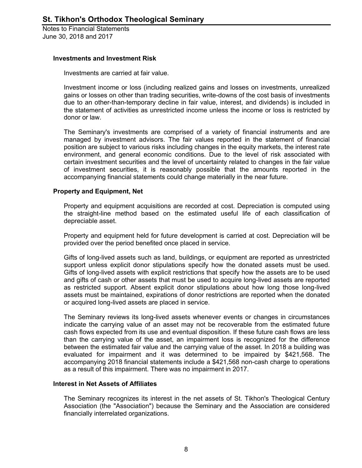#### **Investments and Investment Risk**

Investments are carried at fair value.

Investment income or loss (including realized gains and losses on investments, unrealized gains or losses on other than trading securities, write-downs of the cost basis of investments due to an other-than-temporary decline in fair value, interest, and dividends) is included in the statement of activities as unrestricted income unless the income or loss is restricted by donor or law.

The Seminary's investments are comprised of a variety of financial instruments and are managed by investment advisors. The fair values reported in the statement of financial position are subject to various risks including changes in the equity markets, the interest rate environment, and general economic conditions. Due to the level of risk associated with certain investment securities and the level of uncertainty related to changes in the fair value of investment securities, it is reasonably possible that the amounts reported in the accompanying financial statements could change materially in the near future.

#### **Property and Equipment, Net**

Property and equipment acquisitions are recorded at cost. Depreciation is computed using the straight-line method based on the estimated useful life of each classification of depreciable asset.

Property and equipment held for future development is carried at cost. Depreciation will be provided over the period benefited once placed in service.

Gifts of long-lived assets such as land, buildings, or equipment are reported as unrestricted support unless explicit donor stipulations specify how the donated assets must be used. Gifts of long-lived assets with explicit restrictions that specify how the assets are to be used and gifts of cash or other assets that must be used to acquire long-lived assets are reported as restricted support. Absent explicit donor stipulations about how long those long-lived assets must be maintained, expirations of donor restrictions are reported when the donated or acquired long-lived assets are placed in service.

The Seminary reviews its long-lived assets whenever events or changes in circumstances indicate the carrying value of an asset may not be recoverable from the estimated future cash flows expected from its use and eventual disposition. If these future cash flows are less than the carrying value of the asset, an impairment loss is recognized for the difference between the estimated fair value and the carrying value of the asset. In 2018 a building was evaluated for impairment and it was determined to be impaired by \$421,568. The accompanying 2018 financial statements include a \$421,568 non-cash charge to operations as a result of this impairment. There was no impairment in 2017.

#### **Interest in Net Assets of Affiliates**

The Seminary recognizes its interest in the net assets of St. Tikhon's Theological Century Association (the "Association") because the Seminary and the Association are considered financially interrelated organizations.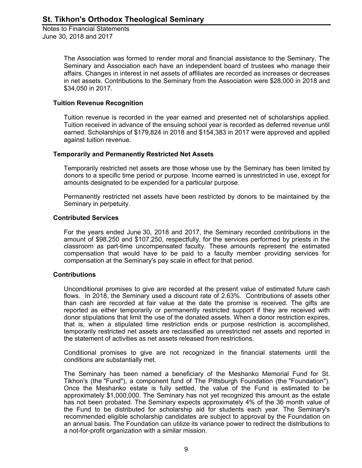> The Association was formed to render moral and financial assistance to the Seminary. The Seminary and Association each have an independent board of trustees who manage their affairs. Changes in interest in net assets of affiliates are recorded as increases or decreases in net assets. Contributions to the Seminary from the Association were \$28,000 in 2018 and \$34,050 in 2017.

#### **Tuition Revenue Recognition**

Tuition revenue is recorded in the year earned and presented net of scholarships applied. Tuition received in advance of the ensuing school year is recorded as deferred revenue until earned. Scholarships of \$179,824 in 2018 and \$154,383 in 2017 were approved and applied against tuition revenue.

#### **Temporarily and Permanently Restricted Net Assets**

Temporarily restricted net assets are those whose use by the Seminary has been limited by donors to a specific time period or purpose. Income earned is unrestricted in use, except for amounts designated to be expended for a particular purpose.

Permanently restricted net assets have been restricted by donors to be maintained by the Seminary in perpetuity.

#### **Contributed Services**

For the years ended June 30, 2018 and 2017, the Seminary recorded contributions in the amount of \$98,250 and \$107,250, respectfully, for the services performed by priests in the classroom as part-time uncompensated faculty. These amounts represent the estimated compensation that would have to be paid to a faculty member providing services for compensation at the Seminary's pay scale in effect for that period.

#### **Contributions**

Unconditional promises to give are recorded at the present value of estimated future cash flows. In 2018, the Seminary used a discount rate of 2.63%. Contributions of assets other than cash are recorded at fair value at the date the promise is received. The gifts are reported as either temporarily or permanently restricted support if they are received with donor stipulations that limit the use of the donated assets. When a donor restriction expires, that is, when a stipulated time restriction ends or purpose restriction is accomplished, temporarily restricted net assets are reclassified as unrestricted net assets and reported in the statement of activities as net assets released from restrictions.

Conditional promises to give are not recognized in the financial statements until the conditions are substantially met.

The Seminary has been named a beneficiary of the Meshanko Memorial Fund for St. Tikhon's (the "Fund"), a component fund of The Pittsburgh Foundation (the "Foundation"). Once the Meshanko estate is fully settled, the value of the Fund is estimated to be approximately \$1,000,000. The Seminary has not yet recognized this amount as the estate has not been probated. The Seminary expects approximately 4% of the 36 month value of the Fund to be distributed for scholarship aid for students each year. The Seminary's recommended eligible scholarship candidates are subject to approval by the Foundation on an annual basis. The Foundation can utilize its variance power to redirect the distributions to a not-for-profit organization with a similar mission.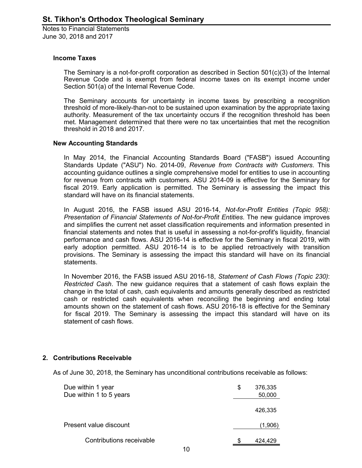#### **Income Taxes**

The Seminary is a not-for-profit corporation as described in Section 501(c)(3) of the Internal Revenue Code and is exempt from federal income taxes on its exempt income under Section 501(a) of the Internal Revenue Code.

The Seminary accounts for uncertainty in income taxes by prescribing a recognition threshold of more-likely-than-not to be sustained upon examination by the appropriate taxing authority. Measurement of the tax uncertainty occurs if the recognition threshold has been met. Management determined that there were no tax uncertainties that met the recognition threshold in 2018 and 2017.

#### **New Accounting Standards**

In May 2014, the Financial Accounting Standards Board ("FASB") issued Accounting Standards Update ("ASU") No. 2014-09, *Revenue from Contracts with Customers*. This accounting guidance outlines a single comprehensive model for entities to use in accounting for revenue from contracts with customers. ASU 2014-09 is effective for the Seminary for fiscal 2019. Early application is permitted. The Seminary is assessing the impact this standard will have on its financial statements.

In August 2016, the FASB issued ASU 2016-14, *Not-for-Profit Entities (Topic 958): Presentation of Financial Statements of Not-for-Profit Entities*. The new guidance improves and simplifies the current net asset classification requirements and information presented in financial statements and notes that is useful in assessing a not-for-profit's liquidity, financial performance and cash flows. ASU 2016-14 is effective for the Seminary in fiscal 2019, with early adoption permitted. ASU 2016-14 is to be applied retroactively with transition provisions. The Seminary is assessing the impact this standard will have on its financial statements.

In November 2016, the FASB issued ASU 2016-18, *Statement of Cash Flows (Topic 230)*: *Restricted Cash*. The new guidance requires that a statement of cash flows explain the change in the total of cash, cash equivalents and amounts generally described as restricted cash or restricted cash equivalents when reconciling the beginning and ending total amounts shown on the statement of cash flows. ASU 2016-18 is effective for the Seminary for fiscal 2019. The Seminary is assessing the impact this standard will have on its statement of cash flows.

#### **2. Contributions Receivable**

As of June 30, 2018, the Seminary has unconditional contributions receivable as follows:

| Due within 1 year<br>Due within 1 to 5 years | S | 376,335<br>50,000 |
|----------------------------------------------|---|-------------------|
|                                              |   | 426,335           |
| Present value discount                       |   | (1,906)           |
| Contributions receivable                     | S | 424,429           |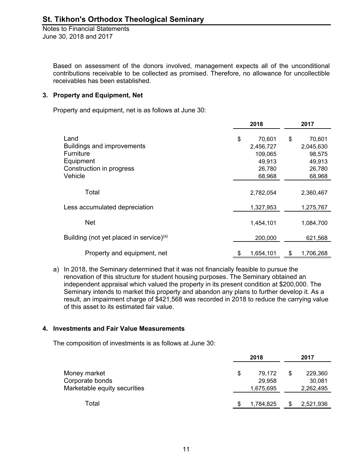> Based on assessment of the donors involved, management expects all of the unconditional contributions receivable to be collected as promised. Therefore, no allowance for uncollectible receivables has been established.

#### **3. Property and Equipment, Net**

Property and equipment, net is as follows at June 30:

|                                            | 2018 |           |    | 2017      |  |  |
|--------------------------------------------|------|-----------|----|-----------|--|--|
| Land                                       | \$   | 70,601    | \$ | 70,601    |  |  |
| Buildings and improvements                 |      | 2,456,727 |    | 2,045,630 |  |  |
| Furniture                                  |      | 109,065   |    | 98,575    |  |  |
| Equipment                                  |      | 49,913    |    | 49,913    |  |  |
| Construction in progress                   |      | 26,780    |    | 26,780    |  |  |
| Vehicle                                    |      | 68,968    |    | 68,968    |  |  |
| Total                                      |      | 2,782,054 |    | 2,360,467 |  |  |
| Less accumulated depreciation              |      | 1,327,953 |    | 1,275,767 |  |  |
| <b>Net</b>                                 |      | 1,454,101 |    | 1,084,700 |  |  |
| Building (not yet placed in service) $(a)$ |      | 200,000   |    | 621,568   |  |  |
| Property and equipment, net                | \$   | 1,654,101 | \$ | 1,706,268 |  |  |

a) In 2018, the Seminary determined that it was not financially feasible to pursue the renovation of this structure for student housing purposes. The Seminary obtained an independent appraisal which valued the property in its present condition at \$200,000. The Seminary intends to market this property and abandon any plans to further develop it. As a result, an impairment charge of \$421,568 was recorded in 2018 to reduce the carrying value of this asset to its estimated fair value.

#### **4. Investments and Fair Value Measurements**

The composition of investments is as follows at June 30:

|                              |   | 2018      | 2017 |           |  |
|------------------------------|---|-----------|------|-----------|--|
| Money market                 | S | 79,172    | S    | 229,360   |  |
| Corporate bonds              |   | 29,958    |      | 30,081    |  |
| Marketable equity securities |   | 1,675,695 |      | 2,262,495 |  |
| Total                        | S | 1,784,825 | \$.  | 2,521,936 |  |
|                              |   |           |      |           |  |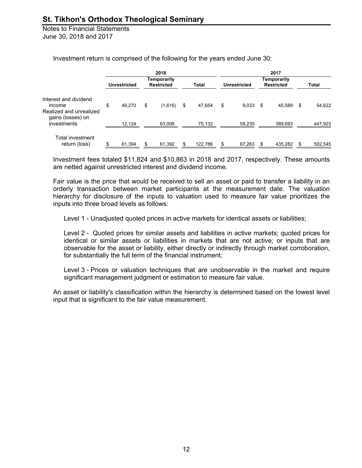|                                                            |                     | 2018                             |              |              |      | 2017                             |     |              |
|------------------------------------------------------------|---------------------|----------------------------------|--------------|--------------|------|----------------------------------|-----|--------------|
|                                                            | <b>Unrestricted</b> | Temporarily<br><b>Restricted</b> | <b>Total</b> | Unrestricted |      | Temporarily<br><b>Restricted</b> |     | <b>Total</b> |
| Interest and dividend<br>income<br>Realized and unrealized | \$<br>49.270        | \$<br>(1,616)                    | \$<br>47,654 | \$<br>9,033  | - \$ | 45,589                           | -\$ | 54,622       |
| gains (losses) on<br>investments                           | 12,124              | 63,008                           | 75,132       | 58,230       |      | 389,693                          |     | 447,923      |
| Total investment<br>return (loss)                          | \$<br>61,394        | \$<br>61,392                     | 122,786      | \$<br>67,263 | S    | 435,282                          |     | 502,545      |

Investment return is comprised of the following for the years ended June 30:

Investment fees totaled \$11,824 and \$10,863 in 2018 and 2017, respectively. These amounts are netted against unrestricted interest and dividend income.

Fair value is the price that would be received to sell an asset or paid to transfer a liability in an orderly transaction between market participants at the measurement date. The valuation hierarchy for disclosure of the inputs to valuation used to measure fair value prioritizes the inputs into three broad levels as follows:

Level 1 - Unadjusted quoted prices in active markets for identical assets or liabilities;

Level 2 - Quoted prices for similar assets and liabilities in active markets; quoted prices for identical or similar assets or liabilities in markets that are not active; or inputs that are observable for the asset or liability, either directly or indirectly through market corroboration, for substantially the full term of the financial instrument;

Level 3 - Prices or valuation techniques that are unobservable in the market and require significant management judgment or estimation to measure fair value.

An asset or liability's classification within the hierarchy is determined based on the lowest level input that is significant to the fair value measurement.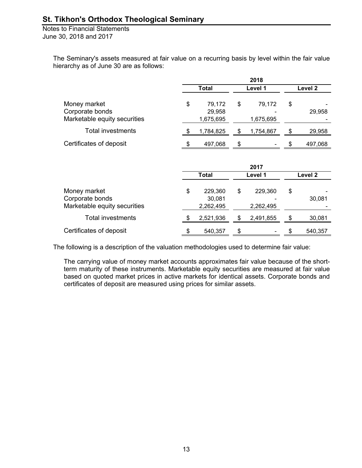Notes to Financial Statements June 30, 2018 and 2017

> The Seminary's assets measured at fair value on a recurring basis by level within the fair value hierarchy as of June 30 are as follows:

|                                                                 |    | 2018                           |    |                      |    |         |
|-----------------------------------------------------------------|----|--------------------------------|----|----------------------|----|---------|
|                                                                 |    | <b>Total</b>                   |    | Level 1              |    | Level 2 |
| Money market<br>Corporate bonds<br>Marketable equity securities | \$ | 79,172<br>29,958<br>1,675,695  | \$ | 79,172<br>1,675,695  | \$ | 29,958  |
| Total investments                                               | S  | 1,784,825                      | \$ | 1,754,867            | \$ | 29,958  |
| Certificates of deposit                                         |    | 497,068                        | \$ |                      | \$ | 497,068 |
|                                                                 |    |                                |    | 2017                 |    |         |
|                                                                 |    | <b>Total</b>                   |    | Level 1              |    | Level 2 |
| Money market<br>Corporate bonds<br>Marketable equity securities | \$ | 229,360<br>30,081<br>2,262,495 | \$ | 229,360<br>2,262,495 | \$ | 30,081  |
| <b>Total investments</b>                                        | \$ | 2,521,936                      | S  | 2,491,855            | \$ | 30,081  |

The following is a description of the valuation methodologies used to determine fair value:

The carrying value of money market accounts approximates fair value because of the shortterm maturity of these instruments. Marketable equity securities are measured at fair value based on quoted market prices in active markets for identical assets. Corporate bonds and certificates of deposit are measured using prices for similar assets.

Certificates of deposit  $\qquad \qquad$  \$ 540,357 \$ - \$ 540,357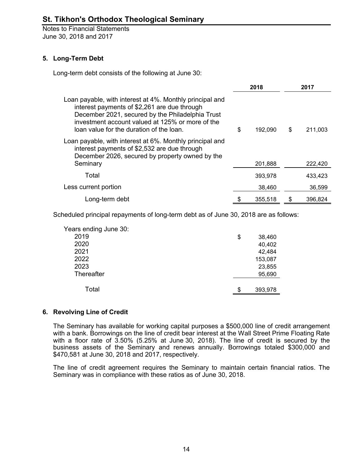### **5. Long-Term Debt**

Long-term debt consists of the following at June 30:

|                                                                                                                                                                                                                                                              | 2018          | 2017 |         |  |
|--------------------------------------------------------------------------------------------------------------------------------------------------------------------------------------------------------------------------------------------------------------|---------------|------|---------|--|
| Loan payable, with interest at 4%. Monthly principal and<br>interest payments of \$2,261 are due through<br>December 2021, secured by the Philadelphia Trust<br>investment account valued at 125% or more of the<br>loan value for the duration of the loan. | \$<br>192.090 | \$   | 211,003 |  |
| Loan payable, with interest at 6%. Monthly principal and<br>interest payments of \$2,532 are due through<br>December 2026, secured by property owned by the                                                                                                  |               |      |         |  |
| Seminary                                                                                                                                                                                                                                                     | 201,888       |      | 222,420 |  |
| Total                                                                                                                                                                                                                                                        | 393,978       |      | 433,423 |  |
| Less current portion                                                                                                                                                                                                                                         | 38.460        |      | 36.599  |  |
| Long-term debt                                                                                                                                                                                                                                               | 355.518       |      | 396.824 |  |

Scheduled principal repayments of long-term debt as of June 30, 2018 are as follows:

| Years ending June 30: |               |
|-----------------------|---------------|
| 2019                  | \$<br>38,460  |
| 2020                  | 40,402        |
| 2021                  | 42,484        |
| 2022                  | 153,087       |
| 2023                  | 23,855        |
| Thereafter            | 95,690        |
|                       |               |
| Total                 | \$<br>393,978 |

### **6. Revolving Line of Credit**

The Seminary has available for working capital purposes a \$500,000 line of credit arrangement with a bank. Borrowings on the line of credit bear interest at the Wall Street Prime Floating Rate with a floor rate of 3.50% (5.25% at June 30, 2018). The line of credit is secured by the business assets of the Seminary and renews annually. Borrowings totaled \$300,000 and \$470,581 at June 30, 2018 and 2017, respectively.

The line of credit agreement requires the Seminary to maintain certain financial ratios. The Seminary was in compliance with these ratios as of June 30, 2018.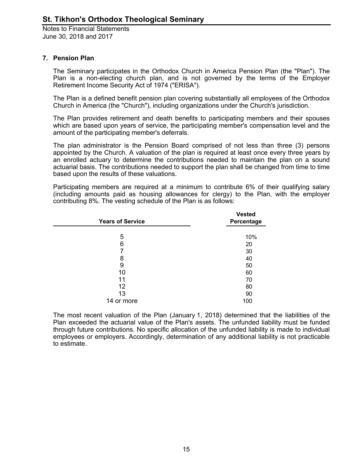#### **7. Pension Plan**

The Seminary participates in the Orthodox Church in America Pension Plan (the "Plan"). The Plan is a non-electing church plan, and is not governed by the terms of the Employer Retirement Income Security Act of 1974 ("ERISA").

The Plan is a defined benefit pension plan covering substantially all employees of the Orthodox Church in America (the "Church"), including organizations under the Church's jurisdiction.

The Plan provides retirement and death benefits to participating members and their spouses which are based upon years of service, the participating member's compensation level and the amount of the participating member's deferrals.

The plan administrator is the Pension Board comprised of not less than three (3) persons appointed by the Church. A valuation of the plan is required at least once every three years by an enrolled actuary to determine the contributions needed to maintain the plan on a sound actuarial basis. The contributions needed to support the plan shall be changed from time to time based upon the results of these valuations.

Participating members are required at a minimum to contribute 6% of their qualifying salary (including amounts paid as housing allowances for clergy) to the Plan, with the employer contributing 8%. The vesting schedule of the Plan is as follows:

| <b>Years of Service</b> | <b>Vested</b><br>Percentage |
|-------------------------|-----------------------------|
|                         |                             |
| 5                       | 10%                         |
| 6                       | 20                          |
|                         | 30                          |
| 8                       | 40                          |
| 9                       | 50                          |
| 10                      | 60                          |
| 11                      | 70                          |
| 12                      | 80                          |
| 13                      | 90                          |
| 14 or more              | 100                         |

The most recent valuation of the Plan (January 1, 2018) determined that the liabilities of the Plan exceeded the actuarial value of the Plan's assets. The unfunded liability must be funded through future contributions. No specific allocation of the unfunded liability is made to individual employees or employers. Accordingly, determination of any additional liability is not practicable to estimate.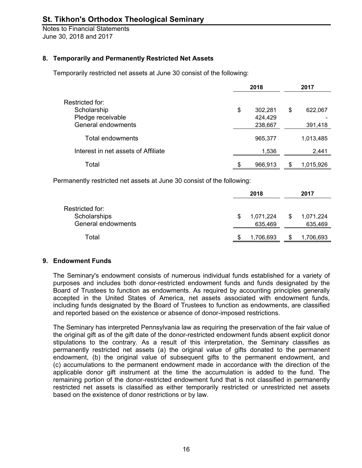### **8. Temporarily and Permanently Restricted Net Assets**

Temporarily restricted net assets at June 30 consist of the following:

|                                     | 2018 |         |    | 2017      |
|-------------------------------------|------|---------|----|-----------|
| Restricted for:                     |      |         |    |           |
| Scholarship                         | \$   | 302,281 | \$ | 622,067   |
| Pledge receivable                   |      | 424,429 |    |           |
| General endowments                  |      | 238,667 |    | 391,418   |
| Total endowments                    |      | 965,377 |    | 1,013,485 |
| Interest in net assets of Affiliate |      | 1,536   |    | 2,441     |
| Total                               | \$   | 966.913 | S  | 1,015,926 |

Permanently restricted net assets at June 30 consist of the following:

|                                                       |   | 2018                 | 2017 |                      |  |
|-------------------------------------------------------|---|----------------------|------|----------------------|--|
| Restricted for:<br>Scholarships<br>General endowments |   | 1,071,224<br>635,469 | S    | 1,071,224<br>635,469 |  |
| Total                                                 | S | 1,706,693            |      | 1,706,693            |  |

#### **9. Endowment Funds**

The Seminary's endowment consists of numerous individual funds established for a variety of purposes and includes both donor-restricted endowment funds and funds designated by the Board of Trustees to function as endowments. As required by accounting principles generally accepted in the United States of America, net assets associated with endowment funds, including funds designated by the Board of Trustees to function as endowments, are classified and reported based on the existence or absence of donor-imposed restrictions.

The Seminary has interpreted Pennsylvania law as requiring the preservation of the fair value of the original gift as of the gift date of the donor-restricted endowment funds absent explicit donor stipulations to the contrary. As a result of this interpretation, the Seminary classifies as permanently restricted net assets (a) the original value of gifts donated to the permanent endowment, (b) the original value of subsequent gifts to the permanent endowment, and (c) accumulations to the permanent endowment made in accordance with the direction of the applicable donor gift instrument at the time the accumulation is added to the fund. The remaining portion of the donor-restricted endowment fund that is not classified in permanently restricted net assets is classified as either temporarily restricted or unrestricted net assets based on the existence of donor restrictions or by law.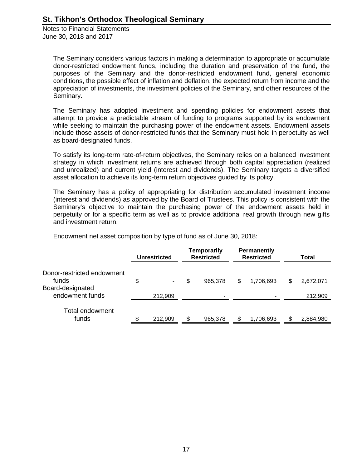Notes to Financial Statements June 30, 2018 and 2017

> The Seminary considers various factors in making a determination to appropriate or accumulate donor-restricted endowment funds, including the duration and preservation of the fund, the purposes of the Seminary and the donor-restricted endowment fund, general economic conditions, the possible effect of inflation and deflation, the expected return from income and the appreciation of investments, the investment policies of the Seminary, and other resources of the Seminary.

> The Seminary has adopted investment and spending policies for endowment assets that attempt to provide a predictable stream of funding to programs supported by its endowment while seeking to maintain the purchasing power of the endowment assets. Endowment assets include those assets of donor-restricted funds that the Seminary must hold in perpetuity as well as board-designated funds.

> To satisfy its long-term rate-of-return objectives, the Seminary relies on a balanced investment strategy in which investment returns are achieved through both capital appreciation (realized and unrealized) and current yield (interest and dividends). The Seminary targets a diversified asset allocation to achieve its long-term return objectives guided by its policy.

> The Seminary has a policy of appropriating for distribution accumulated investment income (interest and dividends) as approved by the Board of Trustees. This policy is consistent with the Seminary's objective to maintain the purchasing power of the endowment assets held in perpetuity or for a specific term as well as to provide additional real growth through new gifts and investment return.

Endowment net asset composition by type of fund as of June 30, 2018:

|                                     | <b>Unrestricted</b> | <b>Temporarily</b><br><b>Restricted</b> | Permanently<br><b>Restricted</b> | Total           |
|-------------------------------------|---------------------|-----------------------------------------|----------------------------------|-----------------|
| Donor-restricted endowment<br>funds | \$                  | \$<br>965,378                           | \$<br>1,706,693                  | \$<br>2,672,071 |
| Board-designated<br>endowment funds | 212,909             |                                         |                                  | 212,909         |
| <b>Total endowment</b><br>funds     | 212,909             | \$<br>965,378                           | 1,706,693                        | \$<br>2,884,980 |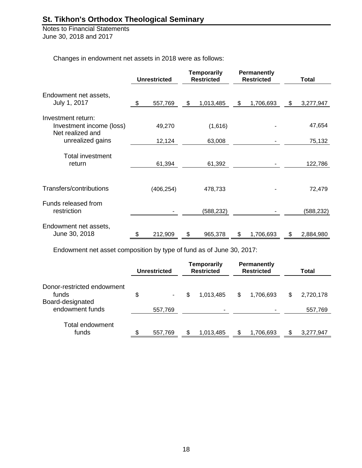Notes to Financial Statements June 30, 2018 and 2017

Changes in endowment net assets in 2018 were as follows:

|                                              | <b>Unrestricted</b> | <b>Temporarily</b><br><b>Restricted</b> |           | Permanently<br><b>Restricted</b> | Total     |    |           |
|----------------------------------------------|---------------------|-----------------------------------------|-----------|----------------------------------|-----------|----|-----------|
| Endowment net assets,                        |                     |                                         |           |                                  |           |    |           |
| July 1, 2017                                 | \$<br>557,769       | \$                                      | 1,013,485 | \$                               | 1,706,693 | \$ | 3,277,947 |
| Investment return:                           |                     |                                         |           |                                  |           |    |           |
| Investment income (loss)<br>Net realized and | 49,270              |                                         | (1,616)   |                                  |           |    | 47,654    |
| unrealized gains                             | 12,124              |                                         | 63,008    |                                  |           |    | 75,132    |
| <b>Total investment</b>                      |                     |                                         |           |                                  |           |    |           |
| return                                       | 61,394              |                                         | 61,392    |                                  |           |    | 122,786   |
| Transfers/contributions                      | (406, 254)          |                                         | 478,733   |                                  |           |    | 72,479    |
| Funds released from<br>restriction           |                     |                                         | (588,232) |                                  |           |    | (588,232) |
| Endowment net assets,<br>June 30, 2018       | \$<br>212,909       | \$                                      | 965,378   | \$                               | 1,706,693 | \$ | 2,884,980 |

Endowment net asset composition by type of fund as of June 30, 2017:

|                                     | Unrestricted  |     | <b>Temporarily</b><br><b>Restricted</b> |    | Permanently<br><b>Restricted</b> | Total           |
|-------------------------------------|---------------|-----|-----------------------------------------|----|----------------------------------|-----------------|
| Donor-restricted endowment<br>funds | \$            | \$  | 1,013,485                               | \$ | 1.706.693                        | \$<br>2,720,178 |
| Board-designated<br>endowment funds | 557,769       |     |                                         |    |                                  | 557,769         |
| Total endowment<br>funds            | \$<br>557,769 | \$. | 1,013,485                               | S. | 1,706,693                        | \$<br>3,277,947 |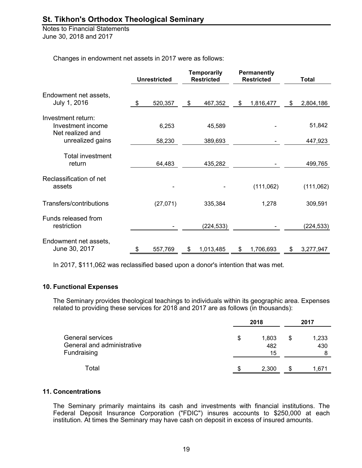Notes to Financial Statements June 30, 2018 and 2017

Changes in endowment net assets in 2017 were as follows:

|                                                             | <b>Unrestricted</b> | <b>Temporarily</b><br><b>Restricted</b> |            | Permanently<br><b>Restricted</b> |    | <b>Total</b> |
|-------------------------------------------------------------|---------------------|-----------------------------------------|------------|----------------------------------|----|--------------|
| Endowment net assets,<br>July 1, 2016                       | \$<br>520,357       | \$                                      | 467,352    | \$<br>1,816,477                  | \$ | 2,804,186    |
|                                                             |                     |                                         |            |                                  |    |              |
| Investment return:<br>Investment income<br>Net realized and | 6,253               |                                         | 45,589     |                                  |    | 51,842       |
| unrealized gains                                            | 58,230              |                                         | 389,693    |                                  |    | 447,923      |
| <b>Total investment</b><br>return                           | 64,483              |                                         | 435,282    |                                  |    | 499,765      |
| Reclassification of net<br>assets                           |                     |                                         |            | (111,062)                        |    | (111,062)    |
| Transfers/contributions                                     | (27,071)            |                                         | 335,384    | 1,278                            |    | 309,591      |
| Funds released from<br>restriction                          |                     |                                         | (224, 533) |                                  |    | (224, 533)   |
| Endowment net assets,<br>June 30, 2017                      | \$<br>557,769       | \$                                      | 1,013,485  | \$<br>1,706,693                  | \$ | 3,277,947    |

In 2017, \$111,062 was reclassified based upon a donor's intention that was met.

#### **10. Functional Expenses**

The Seminary provides theological teachings to individuals within its geographic area. Expenses related to providing these services for 2018 and 2017 are as follows (in thousands):

| General services<br>General and administrative<br>Fundraising | 2018 |                    |     | 2017         |  |  |
|---------------------------------------------------------------|------|--------------------|-----|--------------|--|--|
|                                                               | \$   | 1,803<br>482<br>15 | \$  | 1,233<br>430 |  |  |
| Total                                                         |      | 2.300              | \$. | 1,671        |  |  |

#### **11. Concentrations**

The Seminary primarily maintains its cash and investments with financial institutions. The Federal Deposit Insurance Corporation ("FDIC") insures accounts to \$250,000 at each institution. At times the Seminary may have cash on deposit in excess of insured amounts.